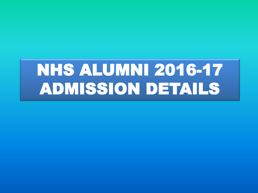# NHS ALUMNI 2016-17 ADMISSION DETAILS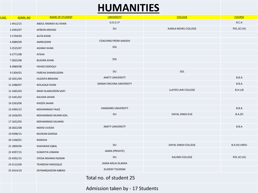## **HUMANITIES**

| S.NO. | ADMN. NO      | NAME OF STUDENT              | <b>UNIVERSITY</b>           | <b>COLLEGE</b>      | <b>COURSE</b>                      |
|-------|---------------|------------------------------|-----------------------------|---------------------|------------------------------------|
|       | 14412/15      | ABDUL RAMISH ALI KHAN        | G.G.S.I.P                   |                     | $\mathsf{B}.\mathsf{C}.\mathsf{A}$ |
|       | 2 2493/07     | <b>AFREEN ARSHAD</b>         | DU                          | KAMLA NEHRU COLLEGE | POL.SCI(H)                         |
|       | 3 1704/03     | <b>ALFIA KHAN</b>            |                             |                     |                                    |
|       | 4 3089/09     | <b>AMIRUDDIN</b>             | <b>COACHING FROM AAKASH</b> |                     |                                    |
|       | 5 25 25/07    | <b>ASHRAF KHAN</b>           | SOL                         |                     |                                    |
|       | 62771/08      | AYSHA                        |                             |                     |                                    |
|       | 72825/08      | <b>BUSHRA KHAN</b>           | SOL                         |                     |                                    |
|       | 82889/08      | <b>FAHAD SIDDIQUI</b>        |                             |                     |                                    |
|       | 9 1304/01     | <b>FAREHA SHAMSUDDIN</b>     | DU                          | SOL                 |                                    |
|       | 10 1831/04    | <b>HUZAIFA IBRAHIM</b>       | <b>AMITY UNIVERSITY</b>     |                     | B.B.A                              |
|       | 11 2488/07    | <b>IKHLAQUE KHAN</b>         | MANAV RACHNA UNIVERSITY     |                     | B.B.A                              |
|       | 12 1665/03    | <b>IRAM ISLAMUDDIN SAIFI</b> |                             | LLAYED LAW COLLEGE  | <b>B.A LLB</b>                     |
|       | 13 1441/02    | <b>KAUSAR JAHAN</b>          |                             |                     |                                    |
|       | 14 22 63/06   | <b>KHIZER JAHAN</b>          |                             |                     |                                    |
|       | 15 43 95 / 15 | <b>MOHAMMAD FAAIZ</b>        | HAMDARD UNIVERSITY          |                     | B.B.A                              |
|       | 16 16 36/03   | MOHAMMAD MUNIR ADIL          | DU                          | DAYAL SINGH EVE     | B.A.(P)                            |
|       | 17 1652/03    | MOHAMMAD SALMAN              |                             |                     |                                    |
|       | 18 28 22/08   | <b>MOHD UVAISH</b>           | <b>AMITY UNIVERSITY</b>     |                     | B.B.A                              |
|       | 194398/15     | MUSKAN SAXENA                |                             |                     |                                    |
|       | 20 1348/01    | RAMSHA                       |                             |                     |                                    |
|       | 21 1809/04    | SHAHWAIZ IQBAL               | DU                          | DAYAL SINGH COLLEGE | B.A (H) URDU                       |
|       | 22 43 97/15   | <b>SUMAYYA USMANI</b>        | JAMIA (PRIVATE)             |                     |                                    |
|       | 23 4392/15    | SYEDA INSHRAH NIZAMI         | DU                          | KALINDI COLLEGE     | POL.SCI (H)                        |
|       | 24 3115/09    | <b>TEHREEM FAROOQUE</b>      | JAMIA MILIA ISLAMIA         |                     |                                    |
|       | 25 34 14/10   | ZAYNABQASEEM ABBASI          | <b>KUOENY TOURISM</b>       |                     |                                    |
|       |               |                              | Total no. of student 25     |                     |                                    |

Admission taken by - 17 Students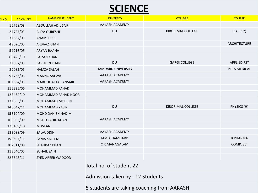## **SCIENCE**

| S.NO. | <b>ADMN.NO</b>  | NAME OF STUDENT            | <b>UNIVERSITY</b>                          | <b>COLLEGE</b>           | <b>COURSE</b>       |  |  |
|-------|-----------------|----------------------------|--------------------------------------------|--------------------------|---------------------|--|--|
|       | 12758/08        | <b>ABDULLAH ADIL SAIFI</b> | AAKASH ACADEMY                             |                          |                     |  |  |
|       | 21727/03        | <b>ALIYA QURESHI</b>       | <b>DU</b>                                  | <b>KIRORIMAL COLLEGE</b> | B.A (PSY)           |  |  |
|       | 31667/03        | <b>ANAM IDRIS</b>          |                                            |                          |                     |  |  |
|       | 42026/05        | <b>ARBAAZ KHAN</b>         |                                            |                          | <b>ARCHITECTURE</b> |  |  |
|       | 51716/03        | ARYAN RAANA                |                                            |                          |                     |  |  |
|       | 63425/10        | <b>FAIZAN KHAN</b>         |                                            |                          |                     |  |  |
|       | 71637/03        | <b>FARHEEN KHAN</b>        | <b>DU</b>                                  | <b>GARGI COLLEGE</b>     | <b>APPLIED PSY</b>  |  |  |
|       | 82082/05        | <b>HAMZA SALAH</b>         | HAMDARD UNIVERSITY                         |                          | PERA MEDICAL        |  |  |
|       | 91763/03        | <b>MANNO SALWA</b>         | AAKASH ACADEMY                             |                          |                     |  |  |
|       | 10 16 34/03     | <b>MAROOF AFTAB ANSARI</b> | AAKASH ACADEMY                             |                          |                     |  |  |
|       | 112225/06       | <b>MOHAMMAD FAHAD</b>      |                                            |                          |                     |  |  |
|       | 12 34 34/10     | <b>MOHAMMAD FAHAD NOOR</b> |                                            |                          |                     |  |  |
|       | 13 1655/03      | <b>MOHAMMAD MOHSIN</b>     |                                            |                          |                     |  |  |
|       | 143647/11       | <b>MOHAMMAD YASIR</b>      | DU                                         | <b>KIRORIMAL COLLEGE</b> | PHYSICS (H)         |  |  |
|       | 153104/09       | <b>MOHD DANISH NADIM</b>   |                                            |                          |                     |  |  |
|       | 163082/09       | <b>MOHD ZAHID KHAN</b>     | AAKASH ACADEMY                             |                          |                     |  |  |
|       | 173409/10       | <b>MUSKAN</b>              |                                            |                          |                     |  |  |
|       | 183088/09       | SALAUDDIN                  | AAKASH ACADEMY                             |                          |                     |  |  |
|       | 193607/11       | <b>SANIA SALEEM</b>        | <b>JAMIA HAMDARD</b>                       |                          | <b>B.PHARMA</b>     |  |  |
|       | 202811/08       | <b>SHAHBAZ KHAN</b>        | C.R.MANAGALAM                              |                          | COMP. SCI           |  |  |
|       | 212040/05       | <b>SUHAIL SAIFI</b>        |                                            |                          |                     |  |  |
|       | 22 3 6 4 8 / 11 | SYED AREEB WADOOD          |                                            |                          |                     |  |  |
|       |                 |                            | Total no. of student 22                    |                          |                     |  |  |
|       |                 |                            | Admission taken by - 12 Students           |                          |                     |  |  |
|       |                 |                            | 5 students are taking coaching from AAKASH |                          |                     |  |  |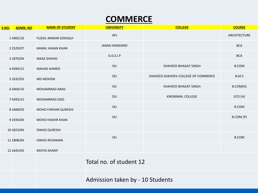### **COMMERCE**

| S.NO. | <b>ADMN.NO</b>  | <b>NAME OF STUDENT</b>       | <b>UNIVERSITY</b><br><b>COLLEGE</b> |                                     | <b>COURSE</b> |  |  |
|-------|-----------------|------------------------------|-------------------------------------|-------------------------------------|---------------|--|--|
|       | 13465/10        | <b>FUZAIL ANWAR SIDDIQUI</b> | APJ                                 |                                     | ARCHITECTURE  |  |  |
|       | 2 2 5 2 9 / 0 7 | <b>KAMAL HASAN KHAN</b>      | <b>JAMIA HAMDARD</b>                |                                     | <b>BCA</b>    |  |  |
|       | 3 1870/04       | <b>MAAZ SHAHID</b>           | G.G.S.I.P                           |                                     | <b>BCA</b>    |  |  |
|       | 44394/15        | <b>MAHAD AHMED</b>           | <b>DU</b>                           | SHAHEED BHAGAT SINGH                | <b>B.COM</b>  |  |  |
|       | 5 1632/03       | <b>MD MOHSIN</b>             | <b>DU</b>                           | SHAHEED SUKHDEV COLLEGE OF COMMERCE | B.M.S         |  |  |
|       | 63404/10        | <b>MOHAMMAD ANAS</b>         | DU                                  | SHAHEED BHAGAT SINGH                | B.COM(H)      |  |  |
|       | 74393/15        | MOHAMMAD ZAID                | <b>DU</b>                           | KIRORIMAL COLLEGE                   | ECO (H)       |  |  |
|       | 8 1 6 6 8 / 0 3 | <b>MOHD FARHAN QURESHI</b>   | <b>DU</b>                           |                                     | <b>B.COM</b>  |  |  |
|       | 9 1934/04       | <b>MOHD HASHIR KHAN</b>      | <b>DU</b>                           |                                     | B.COM (P)     |  |  |
|       | 10 1823/04      | <b>OWAIS QURESHI</b>         |                                     |                                     |               |  |  |
|       | 11 1808/04      | <b>OWAIS REHAMAN</b>         | <b>DU</b>                           |                                     | <b>B.COM</b>  |  |  |
|       | 12 1645/03      | RAFIYA SHARIF                |                                     |                                     |               |  |  |
|       |                 |                              | Total no. of student 12             |                                     |               |  |  |
|       |                 |                              | Admission taken by - 10 Students    |                                     |               |  |  |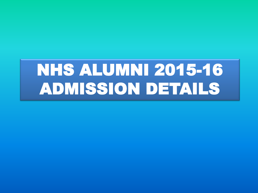# NHS ALUMNI 2015-16 ADMISSION DETAILS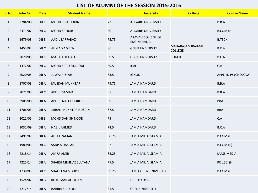#### **LIST OF ALUMNI OF THE SESSION 2015-2016**

| S. No          | Adm No. | <b>Class</b> | <b>Student Name</b>    |       | <b>University</b>                 | <b>College</b>                      | <b>Course Name</b> |
|----------------|---------|--------------|------------------------|-------|-----------------------------------|-------------------------------------|--------------------|
| $\mathbf{1}$   | 2784/08 | XII C        | MOHD SIRAJUDDIN        | 77    | <b>ALIGARH UNIVERSITY</b>         |                                     | B.B.A              |
| $\overline{2}$ | 2471/07 | XII C        | <b>MOHD SAQUIB</b>     | 80    | <b>ALIGARH UNIVERSITY</b>         |                                     | B.COM (H)          |
| $\mathsf{3}$   | 1679/03 | XII B        | AADIL SARFARAZ         | 75.75 | ARAVALI COLLEGE OF<br>ENGINEERING |                                     | <b>B.TECH</b>      |
| $\overline{4}$ | 1453/02 | XII C        | <b>AHMAD AMEEN</b>     | 86    | <b>GGSIP UNIVERSITY</b>           | MAHARAJA SURAJMAL<br><b>COLLEGE</b> | B.C.A              |
| 5              | 2028/05 | XII C        | MAHAD UL HAQ           | 69.5  | <b>GGSIP UNIVERSITY</b>           | COM IT                              | B.C.A              |
| 6              | 1472/02 | XII C        | MOHD SAAD SIDDIQUI     | 69.5  | <b>ICAI</b>                       |                                     | C.A                |
| $\overline{7}$ | 2020/05 | XII A        | <b>JUWAI RIYYAH</b>    | 83.5  | <b>IGNOU</b>                      |                                     | APPLIED PSYCHOLOGY |
| 8              | 1707/03 | XII A        | <b>MUSKAN MUKHTAR</b>  | 79.75 | <b>JAMIA HAMDARD</b>              |                                     | B.B.A              |
| 9              | 2021/05 | XII C        | <b>ABDUL SAMAD</b>     | 57    | <b>JAMIA HAMDARD</b>              |                                     | B.B.A              |
| 10             | 2905/08 | XII A        | ABDUL NAFEY QURESHI    | 69    | <b>JAMIA HAMDARD</b>              |                                     | <b>BBA</b>         |
| 11             | 1706/03 | XII A        | JIBRAN MUKHTAR HUSAIN  | 67.5  | <b>JAMIA HAMDARD</b>              |                                     | <b>BBA</b>         |
| 12             | 2022/05 | XII B        | MOHD DANISH NOOR       | 75    | <b>JAMIA HAMDARD</b>              |                                     | C.A                |
| 13             | 3032/09 | XII A        | <b>NABIL AHMED</b>     | 74.5  | <b>JAMIA HAMDARD</b>              |                                     | B.C.A              |
| 14             | 2491/07 | XII A        | ADEEL ZAMAN            | 90.75 | <b>JAMIA MILIA ISLAMIA</b>        |                                     | B.COM (H)          |
| 15             | 1980/05 | XII C        | SADIYA HASSAN          | 62    | JAMIA MILIA ISLAMIA               |                                     | B.COM (P)          |
| 16             | 4218/14 | XII A        | <b>AMRA AMIR</b>       | 82.25 | <b>JAMIA MILIA ISLAMIA</b>        |                                     | <b>MASS MEDIA</b>  |
| 17             | 4225/14 | XII A        | SHAIKH MEHNAZ SULTANA  | 77.5  | JAMIA MILIA ISLAMIA               |                                     | POL.SCI (H)        |
| 18             | 1738/03 | XII C        | SHAHEENA SIDDIQUI      | 69.25 | <b>JAMIA OPEN UNIVERSITY</b>      |                                     | B.COM (H)          |
| 19             | 1524/02 | XII B        | RUKHSAAR ALI KHAN      |       | LEFT TO USA                       |                                     |                    |
| 20             | 4217/14 | XII A        | <b>BARIRA SIDDIQUI</b> | 61.5  | <b>OPEN UNIVERSITY</b>            |                                     |                    |